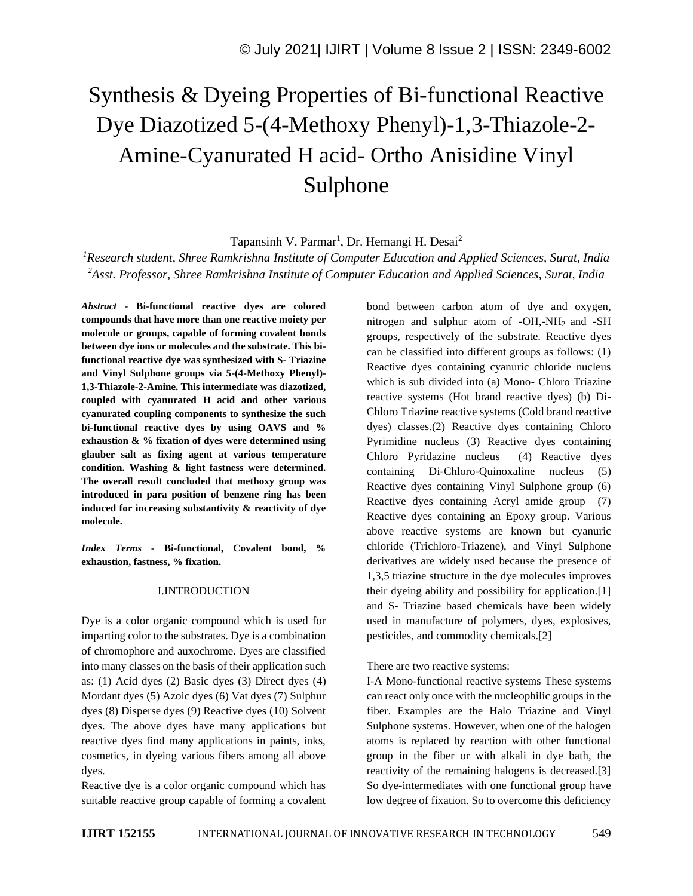# Synthesis & Dyeing Properties of Bi-functional Reactive Dye Diazotized 5-(4-Methoxy Phenyl)-1,3-Thiazole-2- Amine-Cyanurated H acid- Ortho Anisidine Vinyl Sulphone

Tapansinh V. Parmar<sup>1</sup>, Dr. Hemangi H. Desai<sup>2</sup>

*<sup>1</sup>Research student, Shree Ramkrishna Institute of Computer Education and Applied Sciences, Surat, India <sup>2</sup>Asst. Professor, Shree Ramkrishna Institute of Computer Education and Applied Sciences, Surat, India*

*Abstract -* **Bi-functional reactive dyes are colored compounds that have more than one reactive moiety per molecule or groups, capable of forming covalent bonds between dye ions or molecules and the substrate. This bifunctional reactive dye was synthesized with S- Triazine and Vinyl Sulphone groups via 5-(4-Methoxy Phenyl)- 1,3-Thiazole-2-Amine. This intermediate was diazotized, coupled with cyanurated H acid and other various cyanurated coupling components to synthesize the such bi-functional reactive dyes by using OAVS and % exhaustion & % fixation of dyes were determined using glauber salt as fixing agent at various temperature condition. Washing & light fastness were determined. The overall result concluded that methoxy group was introduced in para position of benzene ring has been induced for increasing substantivity & reactivity of dye molecule.**

*Index Terms -* **Bi-functional, Covalent bond, % exhaustion, fastness, % fixation.**

## I.INTRODUCTION

Dye is a color organic compound which is used for imparting color to the substrates. Dye is a combination of chromophore and auxochrome. Dyes are classified into many classes on the basis of their application such as: (1) Acid dyes (2) Basic dyes (3) Direct dyes (4) Mordant dyes (5) Azoic dyes (6) Vat dyes (7) Sulphur dyes (8) Disperse dyes (9) Reactive dyes (10) Solvent dyes. The above dyes have many applications but reactive dyes find many applications in paints, inks, cosmetics, in dyeing various fibers among all above dyes.

Reactive dye is a color organic compound which has suitable reactive group capable of forming a covalent bond between carbon atom of dye and oxygen, nitrogen and sulphur atom of  $-OH$ ,-NH<sub>2</sub> and -SH groups, respectively of the substrate. Reactive dyes can be classified into different groups as follows: (1) Reactive dyes containing cyanuric chloride nucleus which is sub divided into (a) Mono- Chloro Triazine reactive systems (Hot brand reactive dyes) (b) Di-Chloro Triazine reactive systems (Cold brand reactive dyes) classes.(2) Reactive dyes containing Chloro Pyrimidine nucleus (3) Reactive dyes containing Chloro Pyridazine nucleus (4) Reactive dyes containing Di-Chloro-Quinoxaline nucleus (5) Reactive dyes containing Vinyl Sulphone group (6) Reactive dyes containing Acryl amide group (7) Reactive dyes containing an Epoxy group. Various above reactive systems are known but cyanuric chloride (Trichloro-Triazene), and Vinyl Sulphone derivatives are widely used because the presence of 1,3,5 triazine structure in the dye molecules improves their dyeing ability and possibility for application.[1] and S- Triazine based chemicals have been widely used in manufacture of polymers, dyes, explosives, pesticides, and commodity chemicals.[2]

## There are two reactive systems:

I-A Mono-functional reactive systems These systems can react only once with the nucleophilic groups in the fiber. Examples are the Halo Triazine and Vinyl Sulphone systems. However, when one of the halogen atoms is replaced by reaction with other functional group in the fiber or with alkali in dye bath, the reactivity of the remaining halogens is decreased.[3] So dye-intermediates with one functional group have low degree of fixation. So to overcome this deficiency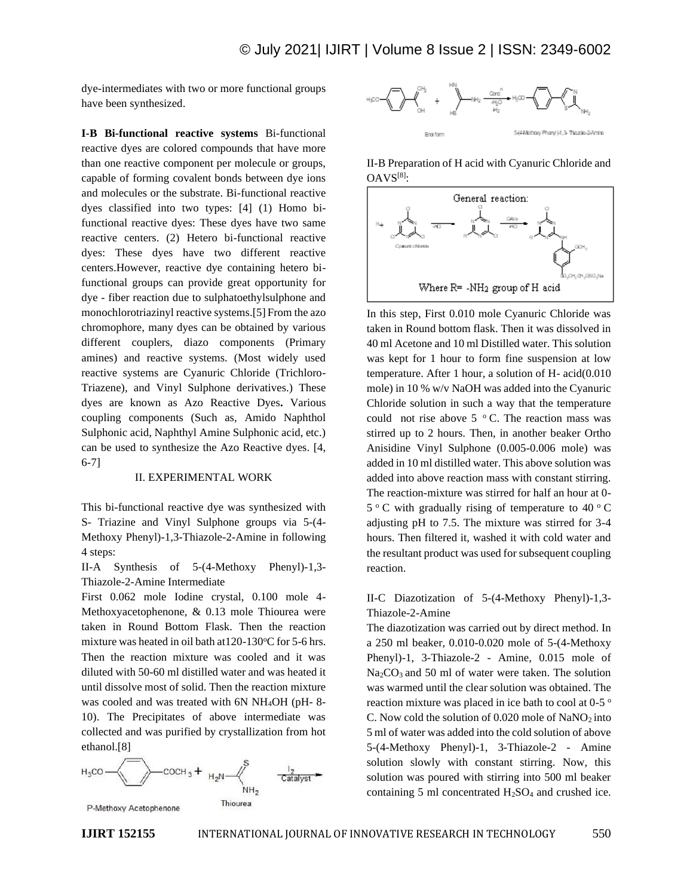dye-intermediates with two or more functional groups have been synthesized.

**I-B Bi-functional reactive systems** Bi-functional reactive dyes are colored compounds that have more than one reactive component per molecule or groups, capable of forming covalent bonds between dye ions and molecules or the substrate. Bi-functional reactive dyes classified into two types: [4] (1) Homo bifunctional reactive dyes: These dyes have two same reactive centers. (2) Hetero bi-functional reactive dyes: These dyes have two different reactive centers.However, reactive dye containing hetero bifunctional groups can provide great opportunity for dye - fiber reaction due to sulphatoethylsulphone and monochlorotriazinyl reactive systems.[5] From the azo chromophore, many dyes can be obtained by various different couplers, diazo components (Primary amines) and reactive systems. (Most widely used reactive systems are Cyanuric Chloride (Trichloro-Triazene), and Vinyl Sulphone derivatives.) These dyes are known as Azo Reactive Dyes**.** Various coupling components (Such as, Amido Naphthol Sulphonic acid, Naphthyl Amine Sulphonic acid, etc.) can be used to synthesize the Azo Reactive dyes. [4, 6-7]

#### II. EXPERIMENTAL WORK

This bi-functional reactive dye was synthesized with S- Triazine and Vinyl Sulphone groups via 5-(4- Methoxy Phenyl)-1,3-Thiazole-2-Amine in following 4 steps:

II-A Synthesis of 5-(4-Methoxy Phenyl)-1,3- Thiazole-2-Amine Intermediate

First 0.062 mole Iodine crystal, 0.100 mole 4- Methoxyacetophenone, & 0.13 mole Thiourea were taken in Round Bottom Flask. Then the reaction mixture was heated in oil bath at  $120-130^{\circ}$ C for 5-6 hrs. Then the reaction mixture was cooled and it was diluted with 50-60 ml distilled water and was heated it until dissolve most of solid. Then the reaction mixture was cooled and was treated with 6N NH<sub>4</sub>OH (pH-8-10). The Precipitates of above intermediate was collected and was purified by crystallization from hot ethanol.[8]





II-B Preparation of H acid with Cyanuric Chloride and OAVS[8]:



In this step, First 0.010 mole Cyanuric Chloride was taken in Round bottom flask. Then it was dissolved in 40 ml Acetone and 10 ml Distilled water. This solution was kept for 1 hour to form fine suspension at low temperature. After 1 hour, a solution of H- acid(0.010 mole) in 10 % w/v NaOH was added into the Cyanuric Chloride solution in such a way that the temperature could not rise above  $5^{\circ}$  C. The reaction mass was stirred up to 2 hours. Then, in another beaker Ortho Anisidine Vinyl Sulphone (0.005-0.006 mole) was added in 10 ml distilled water. This above solution was added into above reaction mass with constant stirring. The reaction-mixture was stirred for half an hour at 0-  $5^{\circ}$  C with gradually rising of temperature to 40  $^{\circ}$  C adjusting pH to 7.5. The mixture was stirred for 3-4 hours. Then filtered it, washed it with cold water and the resultant product was used for subsequent coupling reaction.

II-C Diazotization of 5-(4-Methoxy Phenyl)-1,3- Thiazole-2-Amine

The diazotization was carried out by direct method. In a 250 ml beaker, 0.010-0.020 mole of 5-(4-Methoxy Phenyl)-1, 3-Thiazole-2 - Amine, 0.015 mole of Na<sub>2</sub>CO<sub>3</sub> and 50 ml of water were taken. The solution was warmed until the clear solution was obtained. The reaction mixture was placed in ice bath to cool at 0-5 ° C. Now cold the solution of  $0.020$  mole of NaNO<sub>2</sub> into 5 ml of water was added into the cold solution of above 5-(4-Methoxy Phenyl)-1, 3-Thiazole-2 - Amine solution slowly with constant stirring. Now, this solution was poured with stirring into 500 ml beaker containing 5 ml concentrated  $H<sub>2</sub>SO<sub>4</sub>$  and crushed ice.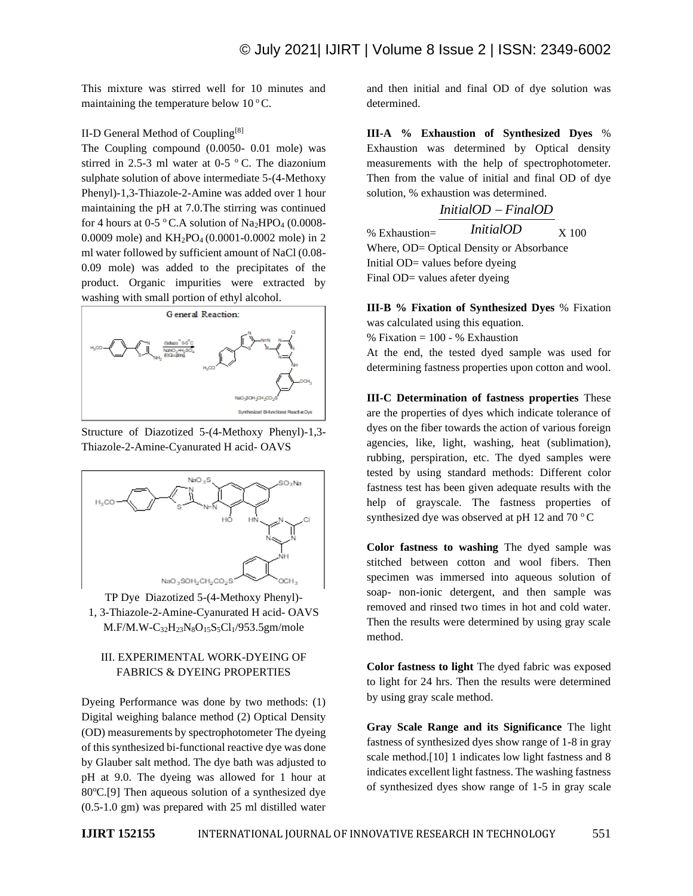This mixture was stirred well for 10 minutes and maintaining the temperature below  $10^{\circ}$ C.

#### II-D General Method of Coupling[8]

The Coupling compound (0.0050- 0.01 mole) was stirred in 2.5-3 ml water at 0-5  $\,^{\circ}$  C. The diazonium sulphate solution of above intermediate 5-(4-Methoxy Phenyl)-1,3-Thiazole-2-Amine was added over 1 hour maintaining the pH at 7.0.The stirring was continued for 4 hours at 0-5 °C.A solution of  $Na<sub>2</sub>HPO<sub>4</sub>$  (0.0008-0.0009 mole) and KH2PO4 (0.0001-0.0002 mole) in 2 ml water followed by sufficient amount of NaCl (0.08- 0.09 mole) was added to the precipitates of the product. Organic impurities were extracted by washing with small portion of ethyl alcohol.



Structure of Diazotized 5-(4-Methoxy Phenyl)-1,3- Thiazole-2-Amine-Cyanurated H acid- OAVS



TP Dye Diazotized 5-(4-Methoxy Phenyl)- 1, 3-Thiazole-2-Amine-Cyanurated H acid- OAVS M.F/M.W-C32H23N8O15S5Cl1/953.5gm/mole

## III. EXPERIMENTAL WORK-DYEING OF FABRICS & DYEING PROPERTIES

Dyeing Performance was done by two methods: (1) Digital weighing balance method (2) Optical Density (OD) measurements by spectrophotometer The dyeing of this synthesized bi-functional reactive dye was done by Glauber salt method. The dye bath was adjusted to pH at 9.0. The dyeing was allowed for 1 hour at  $80^{\circ}$ C.[9] Then aqueous solution of a synthesized dye (0.5-1.0 gm) was prepared with 25 ml distilled water and then initial and final OD of dye solution was determined.

**III-A % Exhaustion of Synthesized Dyes** % Exhaustion was determined by Optical density measurements with the help of spectrophotometer. Then from the value of initial and final OD of dye solution, % exhaustion was determined.



Initial OD= values before dyeing Final OD= values afeter dyeing

**III-B % Fixation of Synthesized Dyes** % Fixation was calculated using this equation.  $%$  Fixation = 100 -  $%$  Exhaustion

At the end, the tested dyed sample was used for determining fastness properties upon cotton and wool.

**III-C Determination of fastness properties** These are the properties of dyes which indicate tolerance of dyes on the fiber towards the action of various foreign agencies, like, light, washing, heat (sublimation), rubbing, perspiration, etc. The dyed samples were tested by using standard methods: Different color fastness test has been given adequate results with the help of grayscale. The fastness properties of synthesized dye was observed at pH 12 and 70 $\,^{\circ}$ C

**Color fastness to washing** The dyed sample was stitched between cotton and wool fibers. Then specimen was immersed into aqueous solution of soap- non-ionic detergent, and then sample was removed and rinsed two times in hot and cold water. Then the results were determined by using gray scale method.

**Color fastness to light** The dyed fabric was exposed to light for 24 hrs. Then the results were determined by using gray scale method.

**Gray Scale Range and its Significance** The light fastness of synthesized dyes show range of 1-8 in gray scale method.[10] 1 indicates low light fastness and 8 indicates excellent light fastness. The washing fastness of synthesized dyes show range of 1-5 in gray scale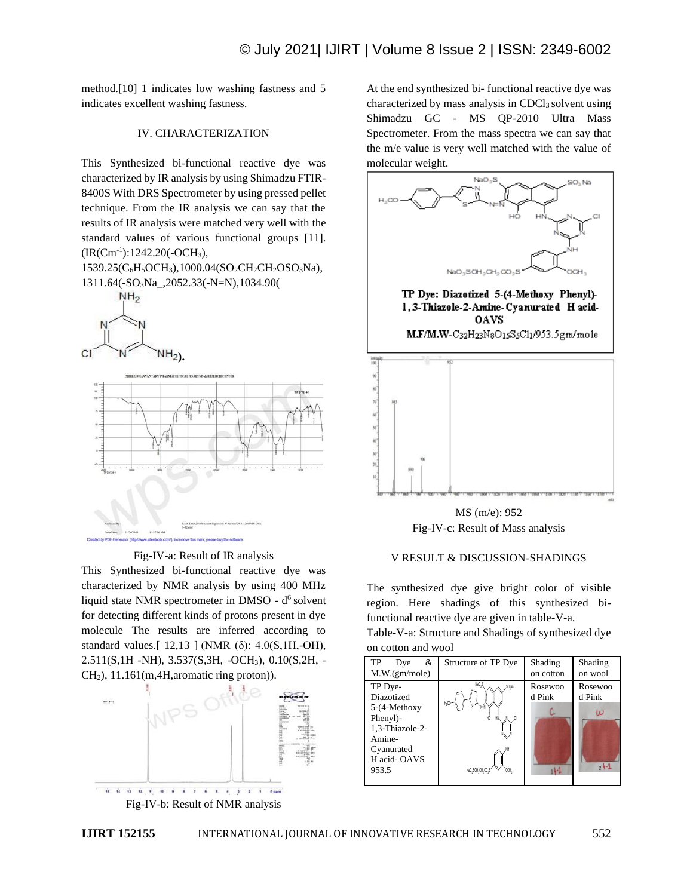method.[10] 1 indicates low washing fastness and 5 indicates excellent washing fastness.

## IV. CHARACTERIZATION

This Synthesized bi-functional reactive dye was characterized by IR analysis by using Shimadzu FTIR-8400S With DRS Spectrometer by using pressed pellet technique. From the IR analysis we can say that the results of IR analysis were matched very well with the standard values of various functional groups [11].  $(IR(Cm<sup>-1</sup>):1242.20(-OCH<sub>3</sub>),$ 

1539.25(C<sub>6</sub>H<sub>5</sub>OCH<sub>3</sub>),1000.04(SO<sub>2</sub>CH<sub>2</sub>CH<sub>2</sub>OSO<sub>3</sub>Na), 1311.64(-SO3Na\_,2052.33(-N=N),1034.90(





Fig-IV-a: Result of IR analysis

This Synthesized bi-functional reactive dye was characterized by NMR analysis by using 400 MHz liquid state NMR spectrometer in DMSO -  $d^6$  solvent for detecting different kinds of protons present in dye molecule The results are inferred according to standard values.[ 12,13 ] (NMR (δ): 4.0(S,1H,-OH), 2.511(S,1H -NH), 3.537(S,3H, -OCH3), 0.10(S,2H, -  $CH<sub>2</sub>$ ), 11.161(m, 4H, aromatic ring proton)).



Fig-IV-b: Result of NMR analysis

At the end synthesized bi- functional reactive dye was characterized by mass analysis in  $CDCl<sub>3</sub>$  solvent using Shimadzu GC - MS QP-2010 Ultra Mass Spectrometer. From the mass spectra we can say that the m/e value is very well matched with the value of molecular weight.



MS (m/e): 952 Fig-IV-c: Result of Mass analysis

#### V RESULT & DISCUSSION-SHADINGS

The synthesized dye give bright color of visible region. Here shadings of this synthesized bifunctional reactive dye are given in table-V-a.

Table-V-a: Structure and Shadings of synthesized dye on cotton and wool

| TP<br>&<br>Dye<br>M.W.(gm/mole)                                                                                      | Structure of TP Dye                                                          | Shading<br>on cotton         | Shading<br>on wool                   |
|----------------------------------------------------------------------------------------------------------------------|------------------------------------------------------------------------------|------------------------------|--------------------------------------|
| TP Dye-<br>Diazotized<br>5-(4-Methoxy<br>Phenyl)-<br>1,3-Thiazole-2-<br>Amine-<br>Cyanurated<br>H acid-OAVS<br>953.5 | NaO <sub>2</sub> S<br>,SO <sub>1</sub> Na<br>$H_2$ CO<br>HÓ<br>NaO3SOH2CH2CO | Rosewoo<br>d Pink<br>$1 - 1$ | Rosewoo<br>d Pink<br>t L<br>$24 - 1$ |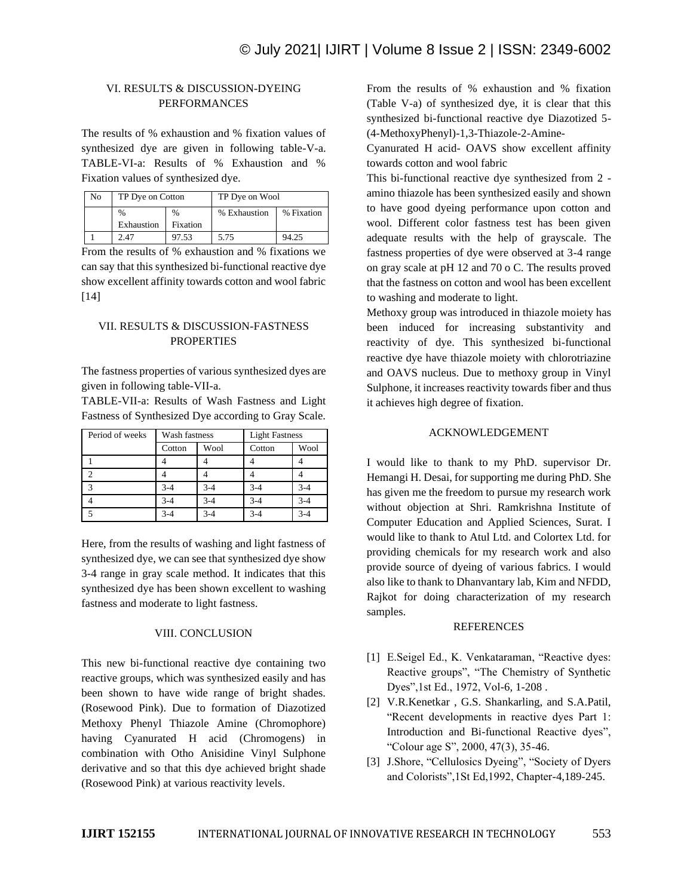# VI. RESULTS & DISCUSSION-DYEING PERFORMANCES

The results of % exhaustion and % fixation values of synthesized dye are given in following table-V-a. TABLE-VI-a: Results of % Exhaustion and % Fixation values of synthesized dye.

| No | TP Dye on Cotton   |                  | TP Dye on Wool |            |
|----|--------------------|------------------|----------------|------------|
|    | $\%$<br>Exhaustion | $\%$<br>Fixation | % Exhaustion   | % Fixation |
|    | 2.47               | 97.53            | 5.75           | 94.25      |

From the results of % exhaustion and % fixations we can say that this synthesized bi-functional reactive dye show excellent affinity towards cotton and wool fabric [14]

## VII. RESULTS & DISCUSSION-FASTNESS **PROPERTIES**

The fastness properties of various synthesized dyes are given in following table-VII-a.

TABLE-VII-a: Results of Wash Fastness and Light Fastness of Synthesized Dye according to Gray Scale.

| Period of weeks | Wash fastness |         | <b>Light Fastness</b> |         |
|-----------------|---------------|---------|-----------------------|---------|
|                 | Cotton        | Wool    | Cotton                | Wool    |
|                 |               |         |                       |         |
|                 |               |         |                       |         |
| $\mathbf{r}$    | $3 - 4$       | $3 - 4$ | $3 - 4$               | $3 - 4$ |
|                 | $3 - 4$       | $3 - 4$ | $3 - 4$               | $3 - 4$ |
|                 | $3 - 4$       | $3 - 4$ | $3 - 4$               | $3 - 4$ |

Here, from the results of washing and light fastness of synthesized dye, we can see that synthesized dye show 3-4 range in gray scale method. It indicates that this synthesized dye has been shown excellent to washing fastness and moderate to light fastness.

#### VIII. CONCLUSION

This new bi-functional reactive dye containing two reactive groups, which was synthesized easily and has been shown to have wide range of bright shades. (Rosewood Pink). Due to formation of Diazotized Methoxy Phenyl Thiazole Amine (Chromophore) having Cyanurated H acid (Chromogens) in combination with Otho Anisidine Vinyl Sulphone derivative and so that this dye achieved bright shade (Rosewood Pink) at various reactivity levels.

From the results of % exhaustion and % fixation (Table V-a) of synthesized dye, it is clear that this synthesized bi-functional reactive dye Diazotized 5- (4-MethoxyPhenyl)-1,3-Thiazole-2-Amine-

Cyanurated H acid- OAVS show excellent affinity towards cotton and wool fabric

This bi-functional reactive dye synthesized from 2 amino thiazole has been synthesized easily and shown to have good dyeing performance upon cotton and wool. Different color fastness test has been given adequate results with the help of grayscale. The fastness properties of dye were observed at 3-4 range on gray scale at pH 12 and 70 o C. The results proved that the fastness on cotton and wool has been excellent to washing and moderate to light.

Methoxy group was introduced in thiazole moiety has been induced for increasing substantivity and reactivity of dye. This synthesized bi-functional reactive dye have thiazole moiety with chlorotriazine and OAVS nucleus. Due to methoxy group in Vinyl Sulphone, it increases reactivity towards fiber and thus it achieves high degree of fixation.

#### ACKNOWLEDGEMENT

I would like to thank to my PhD. supervisor Dr. Hemangi H. Desai, for supporting me during PhD. She has given me the freedom to pursue my research work without objection at Shri. Ramkrishna Institute of Computer Education and Applied Sciences, Surat. I would like to thank to Atul Ltd. and Colortex Ltd. for providing chemicals for my research work and also provide source of dyeing of various fabrics. I would also like to thank to Dhanvantary lab, Kim and NFDD, Rajkot for doing characterization of my research samples.

#### **REFERENCES**

- [1] E.Seigel Ed., K. Venkataraman, "Reactive dyes: Reactive groups", "The Chemistry of Synthetic Dyes",1st Ed., 1972, Vol-6, 1-208 .
- [2] V.R.Kenetkar, G.S. Shankarling, and S.A.Patil, "Recent developments in reactive dyes Part 1: Introduction and Bi-functional Reactive dyes", "Colour age S", 2000, 47(3), 35-46.
- [3] J.Shore, "Cellulosics Dyeing", "Society of Dyers and Colorists",1St Ed,1992, Chapter-4,189-245.